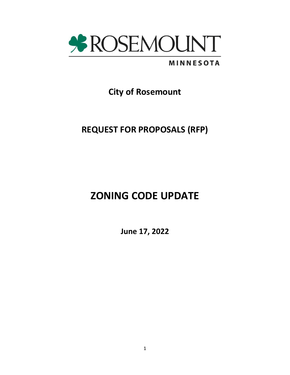

# **MINNESOTA**

**City of Rosemount**

**REQUEST FOR PROPOSALS (RFP)**

# **ZONING CODE UPDATE**

**June 17, 2022**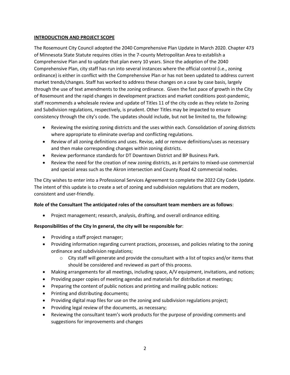# **INTRODUCTION AND PROJECT SCOPE**

The Rosemount City Council adopted the 2040 Comprehensive Plan Update in March 2020. Chapter 473 of Minnesota State Statute requires cities in the 7-county Metropolitan Area to establish a Comprehensive Plan and to update that plan every 10 years. Since the adoption of the 2040 Comprehensive Plan, city staff has run into several instances where the official control (i.e., zoning ordinance) is either in conflict with the Comprehensive Plan or has not been updated to address current market trends/changes. Staff has worked to address these changes on a case by case basis, largely through the use of text amendments to the zoning ordinance. Given the fast pace of growth in the City of Rosemount and the rapid changes in development practices and market conditions post-pandemic, staff recommends a wholesale review and update of Titles 11 of the city code as they relate to Zoning and Subdivision regulations, respectively, is prudent. Other Titles may be impacted to ensure consistency through the city's code. The updates should include, but not be limited to, the following:

- Reviewing the existing zoning districts and the uses within each. Consolidation of zoning districts where appropriate to eliminate overlap and conflicting regulations.
- Review of all zoning definitions and uses. Revise, add or remove definitions/uses as necessary and then make corresponding changes within zoning districts.
- Review performance standards for DT Downtown District and BP Business Park.
- Review the need for the creation of new zoning districts, as it pertains to mixed-use commercial and special areas such as the Akron intersection and County Road 42 commercial nodes.

The City wishes to enter into a Professional Services Agreement to complete the 2022 City Code Update. The intent of this update is to create a set of zoning and subdivision regulations that are modern, consistent and user-friendly.

### **Role of the Consultant The anticipated roles of the consultant team members are as follows**:

• Project management; research, analysis, drafting, and overall ordinance editing.

### **Responsibilities of the City In general, the city will be responsible for**:

- Providing a staff project manager;
- Providing information regarding current practices, processes, and policies relating to the zoning ordinance and subdivision regulations;
	- $\circ$  City staff will generate and provide the consultant with a list of topics and/or items that should be considered and reviewed as part of this process.
- Making arrangements for all meetings, including space, A/V equipment, invitations, and notices;
- Providing paper copies of meeting agendas and materials for distribution at meetings;
- Preparing the content of public notices and printing and mailing public notices:
- Printing and distributing documents;
- Providing digital map files for use on the zoning and subdivision regulations project;
- Providing legal review of the documents, as necessary;
- Reviewing the consultant team's work products for the purpose of providing comments and suggestions for improvements and changes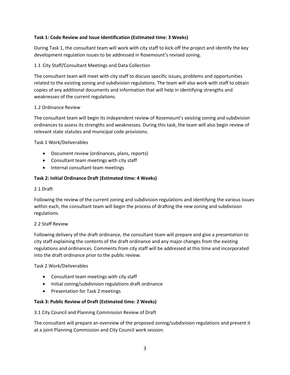# **Task 1: Code Review and Issue Identification (Estimated time: 3 Weeks)**

During Task 1, the consultant team will work with city staff to kick-off the project and identify the key development regulation issues to be addressed in Rosemount's revised zoning.

# 1.1 City Staff/Consultant Meetings and Data Collection

The consultant team will meet with city staff to discuss specific issues, problems and opportunities related to the existing zoning and subdivision regulations. The team will also work with staff to obtain copies of any additional documents and information that will help in identifying strengths and weaknesses of the current regulations.

### 1.2 Ordinance Review

The consultant team will begin its independent review of Rosemount's existing zoning and subdivision ordinances to assess its strengths and weaknesses. During this task, the team will also begin review of relevant state statutes and municipal code provisions.

Task 1 Work/Deliverables

- Document review (ordinances, plans, reports)
- Consultant team meetings with city staff
- Internal consultant team meetings

# **Task 2: Initial Ordinance Draft (Estimated time: 4 Weeks)**

## 2.1 Draft

Following the review of the current zoning and subdivision regulations and identifying the various issues within each, the consultant team will begin the process of drafting the new zoning and subdivision regulations.

# 2.2 Staff Review

Following delivery of the draft ordinance, the consultant team will prepare and give a presentation to city staff explaining the contents of the draft ordinance and any major changes from the existing regulations and ordinances. Comments from city staff will be addressed at this time and incorporated into the draft ordinance prior to the public review.

Task 2 Work/Deliverables

- Consultant team meetings with city staff
- Initial zoning/subdivision regulations draft ordinance
- Presentation for Task 2 meetings

### **Task 3: Public Review of Draft (Estimated time: 2 Weeks)**

### 3.1 City Council and Planning Commission Review of Draft

The consultant will prepare an overview of the proposed zoning/subdivision regulations and present it at a joint Planning Commission and City Council work session.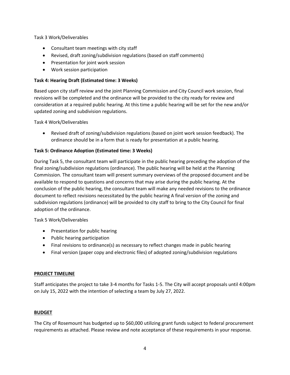Task 3 Work/Deliverables

- Consultant team meetings with city staff
- Revised, draft zoning/subdivision regulations (based on staff comments)
- Presentation for joint work session
- Work session participation

# **Task 4: Hearing Draft (Estimated time: 3 Weeks)**

Based upon city staff review and the joint Planning Commission and City Council work session, final revisions will be completed and the ordinance will be provided to the city ready for review and consideration at a required public hearing. At this time a public hearing will be set for the new and/or updated zoning and subdivision regulations.

Task 4 Work/Deliverables

• Revised draft of zoning/subdivision regulations (based on joint work session feedback). The ordinance should be in a form that is ready for presentation at a public hearing.

# **Task 5: Ordinance Adoption (Estimated time: 3 Weeks)**

During Task 5, the consultant team will participate in the public hearing preceding the adoption of the final zoning/subdivision regulations (ordinance). The public hearing will be held at the Planning Commission. The consultant team will present summary overviews of the proposed document and be available to respond to questions and concerns that may arise during the public hearing. At the conclusion of the public hearing, the consultant team will make any needed revisions to the ordinance document to reflect revisions necessitated by the public hearing A final version of the zoning and subdivision regulations (ordinance) will be provided to city staff to bring to the City Council for final adoption of the ordinance.

Task 5 Work/Deliverables

- Presentation for public hearing
- Public hearing participation
- Final revisions to ordinance(s) as necessary to reflect changes made in public hearing
- Final version (paper copy and electronic files) of adopted zoning/subdivision regulations

# **PROJECT TIMELINE**

Staff anticipates the project to take 3-4 months for Tasks 1-5. The City will accept proposals until 4:00pm on July 15, 2022 with the intention of selecting a team by July 27, 2022.

# **BUDGET**

The City of Rosemount has budgeted up to \$60,000 utilizing grant funds subject to federal procurement requirements as attached. Please review and note acceptance of these requirements in your response.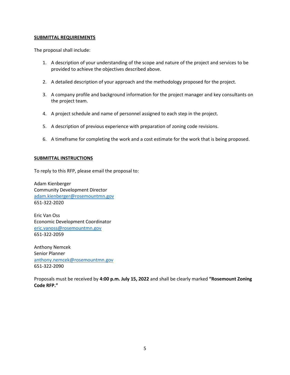#### **SUBMITTAL REQUIREMENTS**

The proposal shall include:

- 1. A description of your understanding of the scope and nature of the project and services to be provided to achieve the objectives described above.
- 2. A detailed description of your approach and the methodology proposed for the project.
- 3. A company profile and background information for the project manager and key consultants on the project team.
- 4. A project schedule and name of personnel assigned to each step in the project.
- 5. A description of previous experience with preparation of zoning code revisions.
- 6. A timeframe for completing the work and a cost estimate for the work that is being proposed.

# **SUBMITTAL INSTRUCTIONS**

To reply to this RFP, please email the proposal to:

Adam Kienberger Community Development Director [adam.kienberger@rosemountmn.gov](mailto:adam.kienberger@rosemountmn.gov) 651-322-2020

Eric Van Oss Economic Development Coordinator [eric.vanoss@rosemountmn.gov](mailto:eric.vanoss@rosemountmn.gov) 651-322-2059

Anthony Nemcek Senior Planner [anthony.nemcek@rosemountmn.gov](mailto:anthony.nemcek@rosemountmn.gov) 651-322-2090

Proposals must be received by **4:00 p.m. July 15, 2022** and shall be clearly marked **"Rosemount Zoning Code RFP."**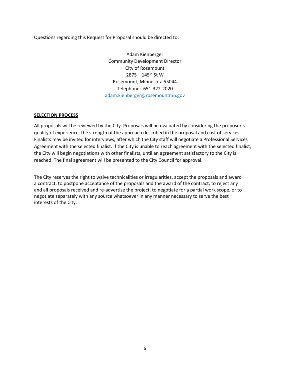Questions regarding this Request for Proposal should be directed to:

Adam Kienberger Community Development Director City of Rosemount  $2875 - 145$ <sup>th</sup> St W Rosemount, Minnesota 55044 Telephone: 651-322-2020 [adam.kienberger@rosemountmn.gov](mailto:adam.kienberger@rosemountmn.gov)

#### **SELECTION PROCESS**

All proposals will be reviewed by the City. Proposals will be evaluated by considering the proposer's quality of experience, the strength of the approach described in the proposal and cost of services. Finalists may be invited for interviews, after which the City staff will negotiate a Professional Services Agreement with the selected finalist. If the City is unable to reach agreement with the selected finalist, the City will begin negotiations with other finalists, until an agreement satisfactory to the City is reached. The final agreement will be presented to the City Council for approval.

The City reserves the right to waive technicalities or irregularities, accept the proposals and award a contract, to postpone acceptance of the proposals and the award of the contract, to reject any and all proposals received and re-advertise the project, to negotiate for a partial work scope, or to negotiate separately with any source whatsoever in any manner necessary to serve the best interests of the City.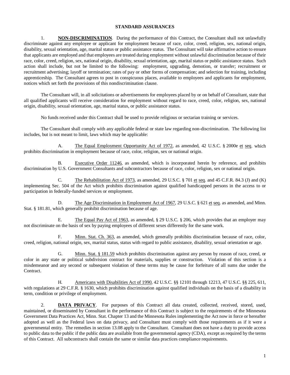#### **STANDARD ASSURANCES**

1. **NON-DISCRIMINATION.** During the performance of this Contract, the Consultant shall not unlawfully discriminate against any employee or applicant for employment because of race, color, creed, religion, sex, national origin, disability, sexual orientation, age, marital status or public assistance status. The Consultant will take affirmative action to ensure that applicants are employed and that employees are treated during employment without unlawful discrimination because of their race, color, creed, religion, sex, national origin, disability, sexual orientation, age, marital status or public assistance status. Such action shall include, but not be limited to the following: employment, upgrading, demotion, or transfer; recruitment or recruitment advertising; layoff or termination; rates of pay or other forms of compensation; and selection for training, including apprenticeship. The Consultant agrees to post in conspicuous places, available to employees and applicants for employment, notices which set forth the provisions of this nondiscrimination clause.

The Consultant will, in all solicitations or advertisements for employees placed by or on behalf of Consultant, state that all qualified applicants will receive consideration for employment without regard to race, creed, color, religion, sex, national origin, disability, sexual orientation, age, marital status, or public assistance status.

No funds received under this Contract shall be used to provide religious or sectarian training or services.

The Consultant shall comply with any applicable federal or state law regarding non-discrimination. The following list includes, but is not meant to limit, laws which may be applicable:

A. The Equal Employment Opportunity Act of 1972, as amended, 42 U.S.C. § 2000e et seq. which prohibits discrimination in employment because of race, color, religion, sex or national origin.

B. Executive Order 11246, as amended, which is incorporated herein by reference, and prohibits discrimination by U.S. Government Consultants and subcontractors because of race, color, religion, sex or national origin.

C. The Rehabilitation Act of 1973, as amended, 29 U.S.C. § 701 et seq. and 45 C.F.R. 84.3 (J) and (K) implementing Sec. 504 of the Act which prohibits discrimination against qualified handicapped persons in the access to or participation in federally-funded services or employment.

D. The Age Discrimination in Employment Act of 1967, 29 U.S.C. § 621 et seq. as amended, and Minn. Stat. § 181.81, which generally prohibit discrimination because of age.

E. The Equal Pay Act of 1963, as amended, § 29 U.S.C. § 206, which provides that an employer may not discriminate on the basis of sex by paying employees of different sexes differently for the same work.

F. Minn. Stat. Ch. 363, as amended, which generally prohibits discrimination because of race, color, creed, religion, national origin, sex, marital status, status with regard to public assistance, disability, sexual orientation or age.

G. Minn. Stat. § 181.59 which prohibits discrimination against any person by reason of race, creed, or color in any state or political subdivision contract for materials, supplies or construction. Violation of this section is a misdemeanor and any second or subsequent violation of these terms may be cause for forfeiture of all sums due under the Contract.

H. Americans with Disabilities Act of 1990, 42 U.S.C. §§ 12101 through 12213, 47 U.S.C. §§ 225, 611, with regulations at 29 C.F.R. § 1630, which prohibits discrimination against qualified individuals on the basis of a disability in term, condition or privilege of employment.

2. **DATA PRIVACY**. For purposes of this Contract all data created, collected, received, stored, used, maintained, or disseminated by Consultant in the performance of this Contract is subject to the requirements of the Minnesota Government Data Practices Act, Minn. Stat. Chapter 13 and the Minnesota Rules implementing the Act now in force or hereafter adopted as well as the Federal laws on data privacy, and Consultant must comply with those requirements as if it were a governmental entity. The remedies in section 13.08 apply to the Consultant. Consultant does not have a duty to provide access to public data to the public if the public data are available from the governmental agency (CDA), except as required by the terms of this Contract. All subcontracts shall contain the same or similar data practices compliance requirements.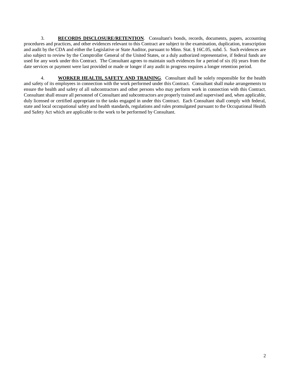3. **RECORDS DISCLOSURE/RETENTION**. Consultant's bonds, records, documents, papers, accounting procedures and practices, and other evidences relevant to this Contract are subject to the examination, duplication, transcription and audit by the CDA and either the Legislative or State Auditor, pursuant to Minn. Stat. § 16C.05, subd. 5. Such evidences are also subject to review by the Comptroller General of the United States, or a duly authorized representative, if federal funds are used for any work under this Contract. The Consultant agrees to maintain such evidences for a period of six (6) years from the date services or payment were last provided or made or longer if any audit in progress requires a longer retention period.

4. **WORKER HEALTH, SAFETY AND TRAINING**. Consultant shall be solely responsible for the health and safety of its employees in connection with the work performed under this Contract. Consultant shall make arrangements to ensure the health and safety of all subcontractors and other persons who may perform work in connection with this Contract. Consultant shall ensure all personnel of Consultant and subcontractors are properly trained and supervised and, when applicable, duly licensed or certified appropriate to the tasks engaged in under this Contract. Each Consultant shall comply with federal, state and local occupational safety and health standards, regulations and rules promulgated pursuant to the Occupational Health and Safety Act which are applicable to the work to be performed by Consultant.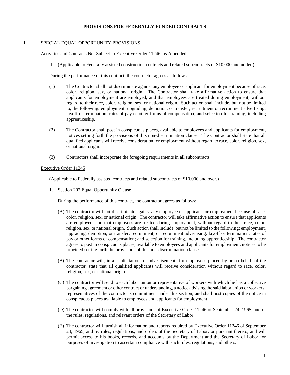#### **PROVISIONS FOR FEDERALLY FUNDED CONTRACTS**

#### I. SPECIAL EQUAL OPPORTUNITY PROVISIONS

#### Activities and Contracts Not Subject to Executive Order 11246, as Amended

II. (Applicable to Federally assisted construction contracts and related subcontracts of \$10,000 and under.)

During the performance of this contract, the contractor agrees as follows:

- (1) The Contractor shall not discriminate against any employee or applicant for employment because of race, color, religion, sex, or national origin. The Contractor shall take affirmative action to ensure that applicants for employment are employed, and that employees are treated during employment, without regard to their race, color, religion, sex, or national origin. Such action shall include, but not be limited to, the following: employment, upgrading, demotion, or transfer; recruitment or recruitment advertising; layoff or termination; rates of pay or other forms of compensation; and selection for training, including apprenticeship.
- (2) The Contractor shall post in conspicuous places, available to employees and applicants for employment, notices setting forth the provisions of this non-discrimination clause. The Contractor shall state that all qualified applicants will receive consideration for employment without regard to race, color, religion, sex, or national origin.
- (3) Contractors shall incorporate the foregoing requirements in all subcontracts.

#### Executive Order 11245

(Applicable to Federally assisted contracts and related subcontracts of \$10,000 and over.)

1. Section 202 Equal Opportunity Clause

During the performance of this contract, the contractor agrees as follows:

- (A) The contractor will not discriminate against any employee or applicant for employment because of race, color, religion, sex, or national origin. The contractor will take affirmative action to ensure that applicants are employed, and that employees are treated during employment, without regard to their race, color, religion, sex, or national origin. Such action shall include, but not be limited to the following: employment, upgrading, demotion, or transfer; recruitment, or recruitment advertising; layoff or termination, rates of pay or other forms of compensation; and selection for training, including apprenticeship. The contractor agrees to post in conspicuous places, available to employees and applicants for employment, notices to be provided setting forth the provisions of this non-discrimination clause.
- (B) The contractor will, in all solicitations or advertisements for employees placed by or on behalf of the contractor, state that all qualified applicants will receive consideration without regard to race, color, religion, sex, or national origin.
- (C) The contractor will send to each labor union or representative of workers with which he has a collective bargaining agreement or other contract or understanding, a notice advising the said labor union or workers' representatives of the contractor's commitment under this section, and shall post copies of the notice in conspicuous places available to employees and applicants for employment.
- (D) The contractor will comply with all provisions of Executive Order 11246 of September 24, 1965, and of the rules, regulations, and relevant orders of the Secretary of Labor.
- (E) The contractor will furnish all information and reports required by Executive Order 11246 of September 24, 1965, and by rules, regulations, and orders of the Secretary of Labor, or pursuant thereto, and will permit access to his books, records, and accounts by the Department and the Secretary of Labor for purposes of investigation to ascertain compliance with such rules, regulations, and others.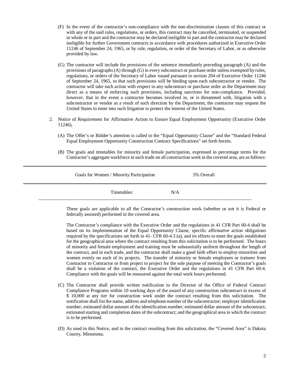- (F) In the event of the contractor's non-compliance with the non-discrimination clauses of this contract or with any of the said rules, regulations, or orders, this contract may be cancelled, terminated, or suspended in whole or in part and the contractor may be declared ineligible in part and the contractor may be declared ineligible for further Government contracts in accordance with procedures authorized in Executive Order 11246 of September 24, 1965, or by rule, regulation, or order of the Secretary of Labor, or as otherwise provided by law.
- (G) The contractor will include the provisions of the sentence immediately preceding paragraph (A) and the provisions of paragraphs (A) through (G) in every subcontract or purchase order unless exempted by rules, regulations, or orders of the Secretary of Labor issued pursuant to section 204 of Executive Order 11246 of September 24, 1965, so that such provisions will be binding upon each subcontractor or vendor. The contractor will take such action with respect to any subcontract or purchase order as the Department may direct as a means of enforcing such provisions, including sanctions for non-compliance. Provided, however, that in the event a contractor becomes involved in, or is threatened with, litigation with a subcontractor or vendor as a result of such direction by the Department, the contractor may request the United States to enter into such litigation to protect the interest of the United States.
- 2. Notice of Requirement for Affirmative Action to Ensure Equal Employment Opportunity (Executive Order 11246).
	- (A) The Offer's or Bidder's attention is called to the "Equal Opportunity Clause" and the "Standard Federal Equal Employment Opportunity Construction Contract Specifications" set forth herein.
	- (B) The goals and timetables for minority and female participation, expressed in percentage terms for the Contractor's aggregate workforce in each trade on all construction work in the covered area, are as follows:

| Goals for Women / Minority Participation |     | 5% Overall |  |
|------------------------------------------|-----|------------|--|
| Timetables:                              | N/A |            |  |

These goals are applicable to all the Contractor's construction work (whether or not it is Federal or federally assisted) performed in the covered area.

The Contractor's compliance with the Executive Order and the regulations in 41 CFR Part 60-4 shall be based on its implementation of the Equal Opportunity Clause, specific affirmative action obligations required by the specifications set forth in 41- CFR 60-4.3 (a), and its efforts to meet the goals established for the geographical area where the contract resulting from this solicitation is to be performed. The hours of minority and female employment and training must be substantially uniform throughout the length of the contract, and in each trade, and the contractor shall make a good faith effort to employ minorities and women evenly on each of its projects. The transfer of minority or female employees or trainees from Contractor to Contractor or from project to project for the sole purpose of meeting the Contractor's goals shall be a violation of the contract, the Executive Order and the regulations in 41 CFR Part 60-4. Compliance with the goals will be measured against the total work hours performed.

- (C) The Contractor shall provide written notification to the Director of the Office of Federal Contract Compliance Programs within 10 working days of the award of any construction subcontract in excess of \$ 10,000 at any tier for construction work under the contract resulting from this solicitation. The notification shall list the name, address and telephone number of the subcontractor; employer identification number; estimated dollar amount of the identification number; estimated dollar amount of the subcontract; estimated starting and completion dates of the subcontract; and the geographical area in which the contract is to be performed.
- (D) As used in this Notice, and in the contract resulting from this solicitation, the "Covered Area" is Dakota County, Minnesota.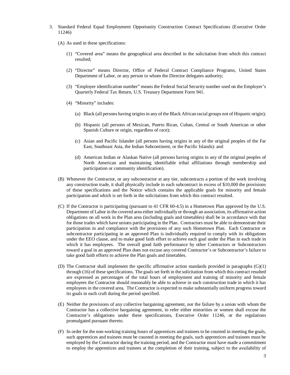- 3. Standard Federal Equal Employment Opportunity Construction Contract Specifications (Executive Order 11246)
	- (A) As used in these specifications:
		- (1) "Covered area" means the geographical area described in the solicitation from which this contract resulted;
		- (2) "Director" means Director, Office of Federal Contract Compliance Programs, United States Department of Labor, or any person to whom the Director delegates authority;
		- (3) "Employer identification number" means the Federal Social Security number used on the Employer's Quarterly Federal Tax Return, U.S. Treasury Department Form 941.
		- (4) "Minority" includes:
			- (a) Black (all persons having origins in any of the Black African racial groups not of Hispanic origin);
			- (b) Hispanic (all persons of Mexican, Puerto Rican, Cuban, Central or South American or other Spanish Culture or origin, regardless of race);
			- (c) Asian and Pacific Islander (all persons having origins in any of the original peoples of the Far East, Southeast Asia, the Indian Subcontinent, or the Pacific Islands): and
			- (d) American Indian or Alaskan Native (all persons having origins in any of the original peoples of North American and maintaining identifiable tribal affiliations through membership and participation or community identification).
	- (B) Whenever the Contractor, or any subcontractor at any tier, subcontracts a portion of the work involving any construction trade, it shall physically include in each subcontract in excess of \$10,000 the provisions of these specifications and the Notice which contains the applicable goals for minority and female participation and which is set forth in the solicitations from which this contract resulted.
	- (C) If the Contractor is participating (pursuant to 41 CFR 60-4.5) in a Hometown Plan approved by the U.S. Department of Labor in the covered area either individually or through an association, its affirmative action obligations on all work in the Plan area (including goals and timetables) shall be in accordance with that for those trades which have unions participating in the Plan. Contractors must be able to demonstrate their participation in and compliance with the provisions of any such Hometown Plan. Each Contractor or subcontractor participating in an approved Plan is individually required to comply with its obligations under the EEO clause, and to make good faith effort to achieve each goal under the Plan in each trade in which it has employees. The overall good faith performance by other Contractors or Subcontractors toward a goal in an approved Plan does not excuse any covered Contractor's or Subcontractor's failure to take good faith efforts to achieve the Plan goals and timetables.
	- (D) The Contractor shall implement the specific affirmative action standards provided in paragraphs (G)(1) through (16) of these specifications. The goals set forth in the solicitation from which this contract resulted are expressed as percentages of the total hours of employment and training of minority and female employees the Contractor should reasonably be able to achieve in each construction trade in which it has employees in the covered area. The Contractor is expected to make substantially uniform progress toward its goals in each craft during the period specified.
	- (E) Neither the provisions of any collective bargaining agreement, nor the failure by a union with whom the Contractor has a collective bargaining agreement, to refer either minorities or women shall excuse the Contractor's obligations under these specifications, Executive Order 11246, or the regulations promulgated pursuant thereto.
	- (F) In order for the non-working training hours of apprentices and trainees to be counted in meeting the goals, such apprentices and trainees must be counted in meeting the goals, such apprentices and trainees must be employed by the Contractor during the training period, and the Contractor must have made a commitment to employ the apprentices and trainees at the completion of their training, subject to the availability of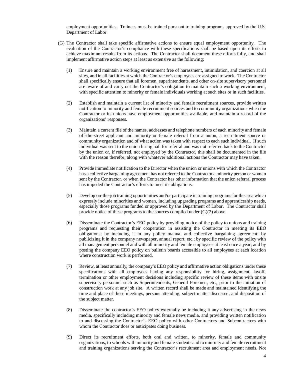employment opportunities. Trainees must be trained pursuant to training programs approved by the U.S. Department of Labor.

- (G) The Contractor shall take specific affirmative actions to ensure equal employment opportunity. The evaluation of the Contractor's compliance with these specifications shall be based upon its efforts to achieve maximum results from its actions. The Contractor shall document these efforts fully, and shall implement affirmative action steps at least as extensive as the following;
	- (1) Ensure and maintain a working environment free of harassment, intimidation, and coercion at all sites, and in all facilities at which the Contractor's employees are assigned to work. The Contractor shall specifically ensure that all foremen, superintendents, and other on-site supervisory personnel are aware of and carry out the Contractor's obligation to maintain such a working environment, with specific attention to minority or female individuals working at such sites or in such facilities.
	- (2) Establish and maintain a current list of minority and female recruitment sources, provide written notification to minority and female recruitment sources and to community organizations when the Contractor or its unions have employment opportunities available, and maintain a record of the organizations' responses.
	- (3) Maintain a current file of the names, addresses and telephone numbers of each minority and female off-the-street applicant and minority or female referral from a union, a recruitment source or community organization and of what action was taken with respect to each such individual. If such individual was sent to the union hiring hall for referral and was not referred back to the Contractor by the union or, if referred, not employed by the Contractor, this shall be documented in the file with the reason therefor, along with whatever additional actions the Contractor may have taken.
	- (4) Provide immediate notification to the Director when the union or unions with which the Contractor has a collective bargaining agreement has not referred to the Contractor a minority person or woman sent by the Contractor, or when the Contractor has other information that the union referral process has impeded the Contractor's efforts to meet its obligations.
	- (5) Develop on-the-job training opportunities and/or participate in training programs for the area which expressly include minorities and women, including upgrading programs and apprenticeship needs, especially those programs funded or approved by the Department of Labor. The Contractor shall provide notice of these programs to the sources compiled under (G)(2) above.
	- (6) Disseminate the Contractor's EEO policy by providing notice of the policy to unions and training programs and requesting their cooperation in assisting the Contractor in meeting its EEO obligations; by including it in any policy manual and collective bargaining agreement; by publicizing it in the company newspaper, annual report, etc.; by specific review of the policy with all management personnel and with all minority and female employees at least once a year; and by posting the company EEO policy on bulletin boards accessible to all employees at each location where construction work is performed.
	- (7) Review, at least annually, the company's EEO policy and affirmative action obligations under these specifications with all employees having any responsibility for hiring, assignment, layoff, termination or other employment decisions including specific review of these items with onsite supervisory personnel such as Superintendents, General Foremen, etc., prior to the initiation of construction work at any job site. A written record shall be made and maintained identifying the time and place of these meetings, persons attending, subject matter discussed, and disposition of the subject matter.
	- (8) Disseminate the contractor's EEO policy externally be including it any advertising in the news media, specifically including minority and female news media, and providing written notification to and discussing the Contractor's EEO policy with other Contractors and Subcontractors with whom the Contractor does or anticipates doing business.
	- (9) Direct its recruitment efforts, both oral and written, to minority, female and community organizations, to schools with minority and female students and to minority and female recruitment and training organizations serving the Contractor's recruitment area and employment needs. Not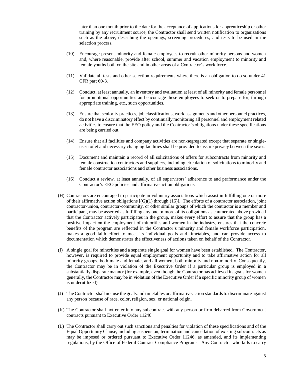later than one month prior to the date for the acceptance of applications for apprenticeship or other training by any recruitment source, the Contractor shall send written notification to organizations such as the above, describing the openings, screening procedures, and tests to be used in the selection process.

- (10) Encourage present minority and female employees to recruit other minority persons and women and, where reasonable, provide after school, summer and vacation employment to minority and female youths both on the site and in other areas of a Contractor's work force.
- (11) Validate all tests and other selection requirements where there is an obligation to do so under 41 CFR part 60-3.
- (12) Conduct, at least annually, an inventory and evaluation at least of all minority and female personnel for promotional opportunities and encourage these employees to seek or to prepare for, through appropriate training, etc., such opportunities.
- (13) Ensure that seniority practices, job classifications, work assignments and other personnel practices, do not have a discriminatory effect by continually monitoring all personnel and employment related activities to ensure that the EEO policy and the Contractor's obligations under these specifications are being carried out.
- (14) Ensure that all facilities and company activities are non-segregated except that separate or singleuser toilet and necessary changing facilities shall be provided to assure privacy between the sexes.
- (15) Document and maintain a record of all solicitations of offers for subcontracts from minority and female construction contractors and suppliers, including circulation of solicitations to minority and female contractor associations and other business associations.
- (16) Conduct a review, at least annually, of all supervisors' adherence to and performance under the Contractor's EEO policies and affirmative action obligations.
- (H) Contractors are encouraged to participate in voluntary associations which assist in fulfilling one or more of their affirmative action obligations  $[(G)(1)$  through  $(16)]$ . The efforts of a contractor association, joint contractor-union, contractor-community, or other similar groups of which the contractor is a member and participant, may be asserted as fulfilling any one or more of its obligations as enumerated above provided that the Contractor actively participates in the group, makes every effort to assure that the group has a positive impact on the employment of minorities and women in the industry, ensures that the concrete benefits of the program are reflected in the Contractor's minority and female workforce participation, makes a good faith effort to meet its individual goals and timetables, and can provide access to documentation which demonstrates the effectiveness of actions taken on behalf of the Contractor.
- (I) A single goal for minorities and a separate single goal for women have been established. The Contractor, however, is required to provide equal employment opportunity and to take affirmative action for all minority groups, both male and female, and all women, both minority and non-minority. Consequently, the Contractor may be in violation of the Executive Order if a particular group is employed in a substantially disparate manner (for example, even though the Contractor has achieved its goals for women generally, the Contractor may be in violation of the Executive Order if a specific minority group of women is underutilized).
- (J) The Contractor shall not use the goals and timetables or affirmative action standards to discriminate against any person because of race, color, religion, sex, or national origin.
- (K) The Contractor shall not enter into any subcontract with any person or firm debarred from Government contracts pursuant to Executive Order 11246.
- (L) The Contractor shall carry out such sanctions and penalties for violation of these specifications and of the Equal Opportunity Clause, including suspension, termination and cancellation of existing subcontracts as may be imposed or ordered pursuant to Executive Order 11246, as amended, and its implementing regulations, by the Office of Federal Contract Compliance Programs. Any Contractor who fails to carry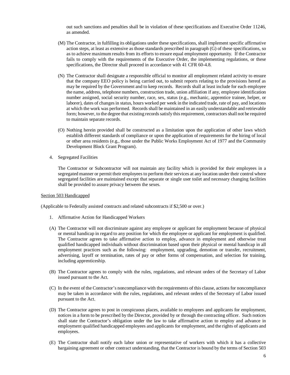out such sanctions and penalties shall be in violation of these specifications and Executive Order 11246, as amended.

- (M) The Contractor, in fulfilling its obligations under these specifications, shall implement specific affirmative action steps, at least as extensive as those standards prescribed in paragraph (G) of these specifications, so as to achieve maximum results from its efforts to ensure equal employment opportunity. If the Contractor fails to comply with the requirements of the Executive Order, the implementing regulations, or these specifications, the Director shall proceed in accordance with 41 CFR 60-4.8.
- (N) The Contractor shall designate a responsible official to monitor all employment related activity to ensure that the company EEO policy is being carried out, to submit reports relating to the provisions hereof as may be required by the Government and to keep records. Records shall at least include for each employee the name, address, telephone numbers, construction trade, union affiliation if any, employee identification number assigned, social security number, race, sex, status (e.g., mechanic, apprentice trainee, helper, or laborer), dates of changes in status, hours worked per week in the indicated trade, rate of pay, and locations at which the work was performed. Records shall be maintained in an easily understandable and retrievable form; however, to the degree that existing records satisfy this requirement, contractors shall not be required to maintain separate records.
- (O) Nothing herein provided shall be constructed as a limitation upon the application of other laws which establish different standards of compliance or upon the application of requirements for the hiring of local or other area residents (e.g., those under the Public Works Employment Act of 1977 and the Community Development Block Grant Program).
- 4. Segregated Facilities

The Contractor or Subcontractor will not maintain any facility which is provided for their employees in a segregated manner or permit their employees to perform their services at any location under their control where segregated facilities are maintained except that separate or single user toilet and necessary changing facilities shall be provided to assure privacy between the sexes.

#### Section 503 Handicapped

(Applicable to Federally assisted contracts and related subcontracts if \$2,500 or over.)

- 1. Affirmative Action for Handicapped Workers
- (A) The Contractor will not discriminate against any employee or applicant for employment because of physical or mental handicap in regard to any position for which the employee or applicant for employment is qualified. The Contractor agrees to take affirmative action to employ, advance in employment and otherwise treat qualified handicapped individuals without discrimination based upon their physical or mental handicap in all employment practices such as the following: employment, upgrading, demotion or transfer, recruitment, advertising, layoff or termination, rates of pay or other forms of compensation, and selection for training, including apprenticeship.
- (B) The Contractor agrees to comply with the rules, regulations, and relevant orders of the Secretary of Labor issued pursuant to the Act.
- (C) In the event of the Contractor's noncompliance with the requirements of this clause, actions for noncompliance may be taken in accordance with the rules, regulations, and relevant orders of the Secretary of Labor issued pursuant to the Act.
- (D) The Contractor agrees to post in conspicuous places, available to employees and applicants for employment, notices in a form to be prescribed by the Director, provided by or through the contracting officer. Such notices shall state the Contractor's obligation under the law to take affirmative action to employ and advance in employment qualified handicapped employees and applicants for employment, and the rights of applicants and employees.
- (E) The Contractor shall notify each labor union or representative of workers with which it has a collective bargaining agreement or other contract understanding, that the Contractor is bound by the terms of Section 503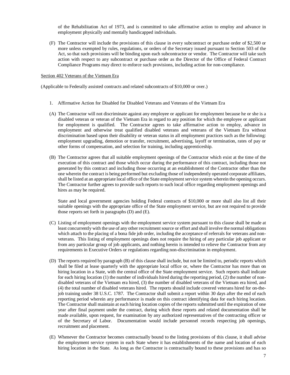of the Rehabilitation Act of 1973, and is committed to take affirmative action to employ and advance in employment physically and mentally handicapped individuals.

(F) The Contractor will include the provisions of this clause in every subcontract or purchase order of \$2,500 or more unless exempted by rules, regulations, or orders of the Secretary issued pursuant to Section 503 of the Act, so that such provisions will be binding upon each subcontractor or vendor. The Contractor will take such action with respect to any subcontract or purchase order as the Director of the Office of Federal Contract Compliance Programs may direct to enforce such provisions, including action for non-compliance.

#### Section 402 Veterans of the Vietnam Era

(Applicable to Federally assisted contracts and related subcontracts of \$10,000 or over.)

- 1. Affirmative Action for Disabled for Disabled Veterans and Veterans of the Vietnam Era
- (A) The Contractor will not discriminate against any employee or applicant for employment because he or she is a disabled veteran or veteran of the Vietnam Era in regard to any position for which the employee or applicant for employment is qualified. The Contractor agrees to take affirmative action to employ, advance in employment and otherwise treat qualified disabled veterans and veterans of the Vietnam Era without discrimination based upon their disability or veteran status in all employment practices such as the following: employment upgrading, demotion or transfer, recruitment, advertising, layoff or termination, rates of pay or other forms of compensation, and selection for training, including apprenticeship.
- (B) The Contractor agrees that all suitable employment openings of the Contractor which exist at the time of the execution of this contract and those which occur during the performance of this contract, including those not generated by this contract and including those occurring at an establishment of the Contractor other than the one wherein the contract is being performed but excluding those of independently operated corporate affiliates, shall be listed at an appropriate local office of the State employment service system wherein the opening occurs. The Contractor further agrees to provide such reports to such local office regarding employment openings and hires as may be required.

State and local government agencies holding Federal contracts of \$10,000 or more shall also list all their suitable openings with the appropriate office of the State employment service, but are not required to provide those reports set forth in paragraphs (D) and (E).

- (C) Listing of employment openings with the employment service system pursuant to this clause shall be made at least concurrently with the use of any other recruitment source or effort and shall involve the normal obligations which attach to the placing of a bona fide job order, including the acceptance of referrals for veterans and nonveterans. This listing of employment openings does not require the hiring of any particular job applicant or from any particular group of job applicants, and nothing herein is intended to relieve the Contractor from any requirements in Executive Orders or regulations regarding non-discrimination in employment.
- (D) The reports required by paragraph (B) of this clause shall include, but not be limited to, periodic reports which shall be filed at lease quarterly with the appropriate local office or, where the Contractor has more than on hiring location in a State, with the central office of the State employment service. Such reports shall indicate for each hiring location (1) the number of individuals hired during the reporting period, (2) the number of nondisabled veterans of the Vietnam era hired, (3) the number of disabled veterans of the Vietnam era hired, and (4) the total number of disabled veterans hired. The reports should include covered veterans hired for on-thejob training under 38 U.S.C. 1787. The Contractor shall submit a report within 30 days after the end of each reporting period wherein any performance is made on this contract identifying data for each hiring location. The Contractor shall maintain at each hiring location copies of the reports submitted until the expiration of one year after final payment under the contract, during which these reports and related documentation shall be made available, upon request, for examination by any authorized representatives of the contracting officer or of the Secretary of Labor. Documentation would include personnel records respecting job openings, recruitment and placement.
- (E) Whenever the Contractor becomes contractually bound to the listing provisions of this clause, it shall advise the employment service system in each State where it has establishments of the name and location of each hiring location in the State. As long as the Contractor is contractually bound to these provisions and has so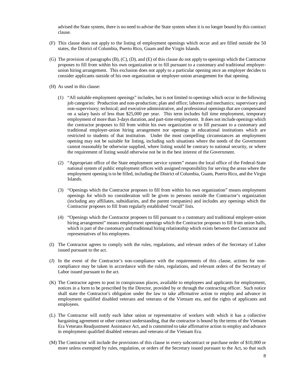advised the State system, there is no need to advise the State system when it is no longer bound by this contract clause.

- (F) This clause does not apply to the listing of employment openings which occur and are filled outside the 50 states, the District of Columbia, Puerto Rico, Guam and the Virgin Islands.
- (G) The provision of paragraphs (B), (C), (D), and (E) of this clause do not apply to openings which the Contractor proposes to fill from within his own organization or to fill pursuant to a customary and traditional employerunion hiring arrangement. This exclusion does not apply to a particular opening once an employer decides to consider applicants outside of his own organization or employer-union arrangement for that opening.
- (H) As used in this clause:
	- (1) "All suitable employment openings" includes, but is not limited to openings which occur in the following job categories: Production and non-production; plan and office; laborers and mechanics; supervisory and non-supervisory; technical; and executive administrative, and professional openings that are compensated on a salary basis of less than \$25,000 per year. This term includes full time employment, temporary employment of more than 3-days duration, and part-time employment. It does not include openings which the contractor proposes to fill from within his own organization or to fill pursuant to a customary and traditional employer-union hiring arrangement nor openings in educational institutions which are restricted to students of that institution. Under the most compelling circumstances an employment opening may not be suitable for listing, including such situations where the needs of the Government cannot reasonably be otherwise supplied, where listing would be contrary to national security, or where the requirement of listing would otherwise not be in the best interest of the Government.
	- (2) "Appropriate office of the State employment service system" means the local office of the Federal-State national system of public employment offices with assigned responsibility for serving the areas where the employment opening is to be filled, including the District of Columbia, Guam, Puerto Rico, and the Virgin Islands.
	- (3) "Openings which the Contractor proposes to fill from within his own organization" means employment openings for which no consideration will be given to persons outside the Contractor's organization (including any affiliates, subsidiaries, and the parent companies) and includes any openings which the Contractor proposes to fill from regularly established "recall" lists.
	- (4) "Openings which the Contractor proposes to fill pursuant to a customary and traditional employer-union hiring arrangement" means employment openings which the Contractor proposes to fill from union halls, which is part of the customary and traditional hiring relationship which exists between the Contractor and representatives of his employees.
- (I) The Contractor agrees to comply with the rules, regulations, and relevant orders of the Secretary of Labor issued pursuant to the act.
- (J) In the event of the Contractor's non-compliance with the requirements of this clause, actions for noncompliance may be taken in accordance with the rules, regulations, and relevant orders of the Secretary of Labor issued pursuant to the act.
- (K) The Contractor agrees to post in conspicuous places, available to employees and applicants for employment, notices in a form to be prescribed by the Director, provided by or through the contracting officer. Such notice shall state the Contractor's obligation under the law to take affirmative action to employ and advance in employment qualified disabled veterans and veterans of the Vietnam era, and the rights of applicants and employees.
- (L) The Contractor will notify each labor union or representative of workers with which it has a collective bargaining agreement or other contract understanding, that the contractor is bound by the terms of the Vietnam Era Veterans Readjustment Assistance Act, and is committed to take affirmative action to employ and advance in employment qualified disabled veterans and veterans of the Vietnam Era.
- (M) The Contractor will include the provisions of this clause in every subcontract or purchase order of \$10,000 or more unless exempted by rules, regulation, or orders of the Secretary issued pursuant to the Act, so that such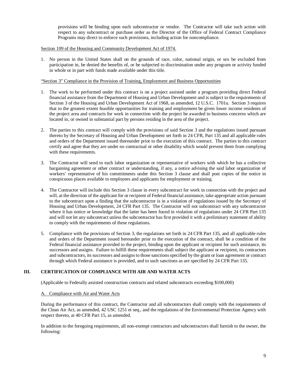provisions will be binding upon each subcontractor or vendor. The Contractor will take such action with respect to any subcontract or purchase order as the Director of the Office of Federal Contract Compliance Programs may direct to enforce such provisions, including action for noncompliance.

#### Section 109 of the Housing and Community Development Act of 1974.

1. No person in the United States shall on the grounds of race, color, national origin, or sex be excluded from participation in, be denied the benefits of, or be subjected to discrimination under any program or activity funded in whole or in part with funds made available under this title.

#### "Section 3" Compliance in the Provision of Training, Employment and Business Opportunities

- 1. The work to be performed under this contract is on a project assisted under a program providing direct Federal financial assistance from the Department of Housing and Urban Development and is subject to the requirements of Section 3 of the Housing and Urban Development Act of 1968, as amended, 12 U.S.C. 1701u. Section 3 requires that to the greatest extent feasible opportunities for training and employment be given lower income residents of the project area and contracts for work in connection with the project be awarded to business concerns which are located in, or owned in substantial part by persons residing in the area of the project.
- 2. The parties to this contract will comply with the provisions of said Section 3 and the regulations issued pursuant thereto by the Secretary of Housing and Urban Development set forth in 24 CFR, Part 135 and all applicable rules and orders of the Department issued thereunder prior to the execution of this contract. The parties to this contract certify and agree that they are under no contractual or other disability which would prevent them from complying with these requirements.
- 3. The Contractor will send to each labor organization or representative of workers with which he has a collective bargaining agreement or other contract or understanding, if any, a notice advising the said labor organization of workers' representative of his commitments under this Section 3 clause and shall post copies of the notice in conspicuous places available to employees and applicants for employment or training.
- 4. The Contractor will include this Section 3 clause in every subcontract for work in connection with the project and will, at the direction of the applicant for or recipient of Federal financial assistance, take appropriate action pursuant to the subcontract upon a finding that the subcontractor is in a violation of regulations issued by the Secretary of Housing and Urban Development, 24 CFR Part 135. The Contractor will not subcontract with any subcontractor where it has notice or knowledge that the latter has been found in violation of regulations under 24 CFR Part 135 and will not let any subcontract unless the subcontractor has first provided it with a preliminary statement of ability to comply with the requirements of these regulations.
- 5. Compliance with the provisions of Section 3, the regulations set forth in 24 CFR Part 135, and all applicable rules and orders of the Department issued hereunder prior to the execution of the contract, shall be a condition of the Federal financial assistance provided to the project, binding upon the applicant or recipient for such assistance, its successors and assigns. Failure to fulfill these requirements shall subject the applicant or recipient, its contractors and subcontractors, its successors and assigns to those sanctions specified by the grant or loan agreement or contract through which Federal assistance is provided, and to such sanctions as are specified by 24 CFR Part 135.

#### **III. CERTIFICATION OF COMPLIANCE WITH AIR AND WATER ACTS**

(Applicable to Federally assisted construction contracts and related subcontracts exceeding \$100,000)

#### A. Compliance with Air and Water Acts

During the performance of this contract, the Contractor and all subcontractors shall comply with the requirements of the Clean Air Act, as amended, 42 USC 1251 et seq., and the regulations of the Environmental Protection Agency with respect thereto, at 40 CFR Part 15, as amended.

In addition to the foregoing requirements, all non-exempt contractors and subcontractors shall furnish to the owner, the following: